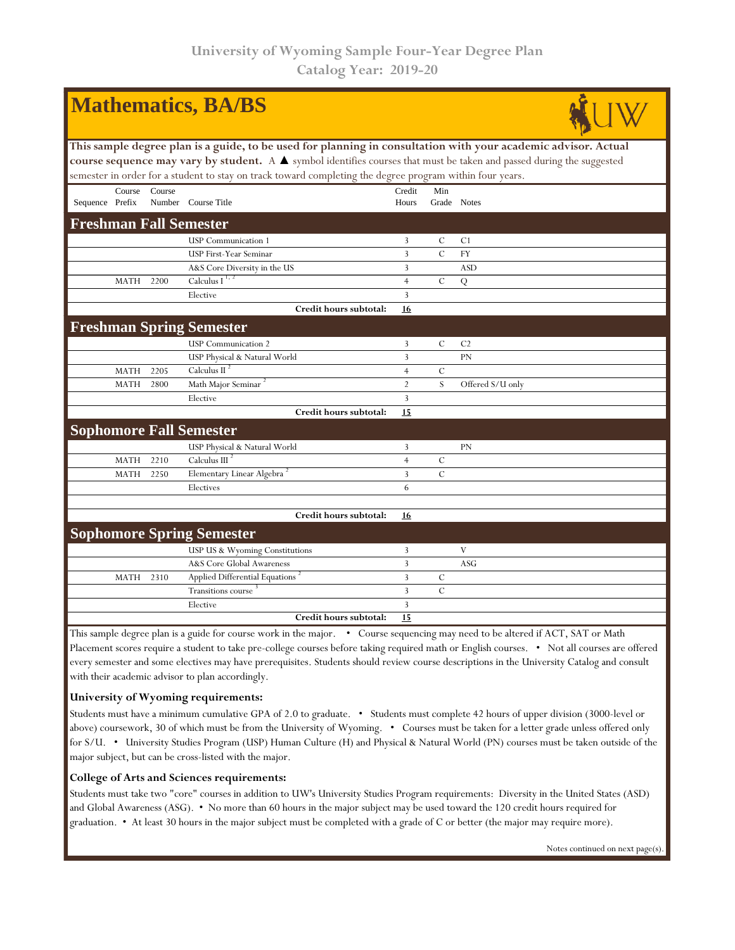| <b>Mathematics, BA/BS</b>                                                                                                                                                                                                               |             |        |                                             |                |               |                  |  |  |  |  |
|-----------------------------------------------------------------------------------------------------------------------------------------------------------------------------------------------------------------------------------------|-------------|--------|---------------------------------------------|----------------|---------------|------------------|--|--|--|--|
| This sample degree plan is a guide, to be used for planning in consultation with your academic advisor. Actual<br>course sequence may vary by student. A A symbol identifies courses that must be taken and passed during the suggested |             |        |                                             |                |               |                  |  |  |  |  |
| semester in order for a student to stay on track toward completing the degree program within four years.                                                                                                                                |             |        |                                             |                |               |                  |  |  |  |  |
|                                                                                                                                                                                                                                         | Course      | Course |                                             | Credit         | Min           |                  |  |  |  |  |
| Sequence Prefix                                                                                                                                                                                                                         |             |        | Number Course Title                         | Hours          | Grade Notes   |                  |  |  |  |  |
| <b>Freshman Fall Semester</b>                                                                                                                                                                                                           |             |        |                                             |                |               |                  |  |  |  |  |
|                                                                                                                                                                                                                                         |             |        | <b>USP</b> Communication 1                  | 3              | $\mathbf C$   | C1               |  |  |  |  |
|                                                                                                                                                                                                                                         |             |        | USP First-Year Seminar                      | 3              | $\mathcal{C}$ | <b>FY</b>        |  |  |  |  |
|                                                                                                                                                                                                                                         |             |        | A&S Core Diversity in the US                | 3              |               | <b>ASD</b>       |  |  |  |  |
|                                                                                                                                                                                                                                         | <b>MATH</b> | 2200   | Calculus I $1, 2$                           | $\overline{4}$ | $\mathcal{C}$ | Q                |  |  |  |  |
|                                                                                                                                                                                                                                         |             |        | Elective                                    | 3              |               |                  |  |  |  |  |
|                                                                                                                                                                                                                                         |             |        | Credit hours subtotal:                      | <u>16</u>      |               |                  |  |  |  |  |
|                                                                                                                                                                                                                                         |             |        | <b>Freshman Spring Semester</b>             |                |               |                  |  |  |  |  |
|                                                                                                                                                                                                                                         |             |        | <b>USP</b> Communication 2                  | 3              | $\mathcal{C}$ | C <sub>2</sub>   |  |  |  |  |
|                                                                                                                                                                                                                                         |             |        | USP Physical & Natural World                | 3              |               | PN               |  |  |  |  |
|                                                                                                                                                                                                                                         | <b>MATH</b> | 2205   | Calculus II $^2$                            | $\overline{4}$ | $\mathcal C$  |                  |  |  |  |  |
|                                                                                                                                                                                                                                         | <b>MATH</b> | 2800   | Math Major Seminar                          | $\overline{2}$ | S             | Offered S/U only |  |  |  |  |
|                                                                                                                                                                                                                                         |             |        | Elective                                    | $\overline{3}$ |               |                  |  |  |  |  |
|                                                                                                                                                                                                                                         |             |        | Credit hours subtotal:                      | 15             |               |                  |  |  |  |  |
| <b>Sophomore Fall Semester</b>                                                                                                                                                                                                          |             |        |                                             |                |               |                  |  |  |  |  |
|                                                                                                                                                                                                                                         |             |        | USP Physical & Natural World                | 3              |               | <b>PN</b>        |  |  |  |  |
|                                                                                                                                                                                                                                         | <b>MATH</b> | 2210   | Calculus III <sup>2</sup>                   | $\overline{4}$ | $\mathcal{C}$ |                  |  |  |  |  |
|                                                                                                                                                                                                                                         | <b>MATH</b> | 2250   | Elementary Linear Algebra                   | 3              | $\mathcal{C}$ |                  |  |  |  |  |
|                                                                                                                                                                                                                                         |             |        | Electives                                   | 6              |               |                  |  |  |  |  |
|                                                                                                                                                                                                                                         |             |        |                                             |                |               |                  |  |  |  |  |
|                                                                                                                                                                                                                                         |             |        | Credit hours subtotal:                      | 16             |               |                  |  |  |  |  |
| <b>Sophomore Spring Semester</b>                                                                                                                                                                                                        |             |        |                                             |                |               |                  |  |  |  |  |
|                                                                                                                                                                                                                                         |             |        | USP US & Wyoming Constitutions              | 3              |               | V                |  |  |  |  |
|                                                                                                                                                                                                                                         |             |        | A&S Core Global Awareness                   | 3              |               | ASG              |  |  |  |  |
|                                                                                                                                                                                                                                         | <b>MATH</b> | 2310   | Applied Differential Equations <sup>2</sup> | 3              | $\mathcal{C}$ |                  |  |  |  |  |
|                                                                                                                                                                                                                                         |             |        | <b>Transitions</b> course                   | 3              | $\mathcal{C}$ |                  |  |  |  |  |
|                                                                                                                                                                                                                                         |             |        | Elective                                    | 3              |               |                  |  |  |  |  |
|                                                                                                                                                                                                                                         |             |        | Credit hours subtotal:                      | 15             |               |                  |  |  |  |  |

This sample degree plan is a guide for course work in the major. • Course sequencing may need to be altered if ACT, SAT or Math Placement scores require a student to take pre-college courses before taking required math or English courses. • Not all courses are offered every semester and some electives may have prerequisites. Students should review course descriptions in the University Catalog and consult with their academic advisor to plan accordingly.

## **University of Wyoming requirements:**

Students must have a minimum cumulative GPA of 2.0 to graduate. • Students must complete 42 hours of upper division (3000-level or above) coursework, 30 of which must be from the University of Wyoming. • Courses must be taken for a letter grade unless offered only for S/U. • University Studies Program (USP) Human Culture (H) and Physical & Natural World (PN) courses must be taken outside of the major subject, but can be cross-listed with the major.

## **College of Arts and Sciences requirements:**

Students must take two "core" courses in addition to UW's University Studies Program requirements: Diversity in the United States (ASD) and Global Awareness (ASG). • No more than 60 hours in the major subject may be used toward the 120 credit hours required for graduation. • At least 30 hours in the major subject must be completed with a grade of C or better (the major may require more).